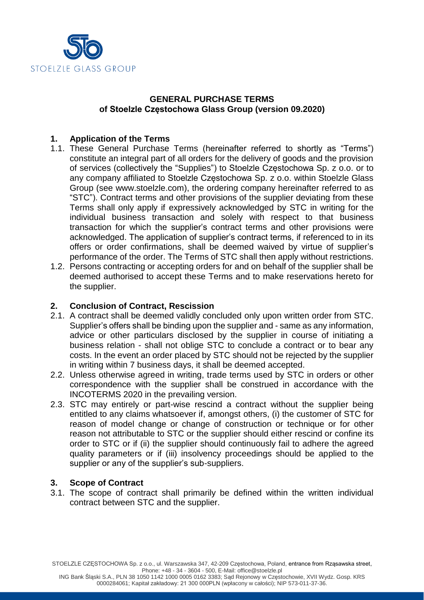

### **GENERAL PURCHASE TERMS of Stoelzle Częstochowa Glass Group (version 09.2020)**

### **1. Application of the Terms**

- 1.1. These General Purchase Terms (hereinafter referred to shortly as "Terms") constitute an integral part of all orders for the delivery of goods and the provision of services (collectively the "Supplies") to Stoelzle Częstochowa Sp. z o.o. or to any company affiliated to Stoelzle Częstochowa Sp. z o.o. within Stoelzle Glass Group (see [www.stoelzle.com\)](http://www.stoelzle.com/), the ordering company hereinafter referred to as "STC"). Contract terms and other provisions of the supplier deviating from these Terms shall only apply if expressively acknowledged by STC in writing for the individual business transaction and solely with respect to that business transaction for which the supplier's contract terms and other provisions were acknowledged. The application of supplier's contract terms, if referenced to in its offers or order confirmations, shall be deemed waived by virtue of supplier's performance of the order. The Terms of STC shall then apply without restrictions.
- 1.2. Persons contracting or accepting orders for and on behalf of the supplier shall be deemed authorised to accept these Terms and to make reservations hereto for the supplier.

### **2. Conclusion of Contract, Rescission**

- 2.1. A contract shall be deemed validly concluded only upon written order from STC. Supplier's offers shall be binding upon the supplier and - same as any information, advice or other particulars disclosed by the supplier in course of initiating a business relation - shall not oblige STC to conclude a contract or to bear any costs. In the event an order placed by STC should not be rejected by the supplier in writing within 7 business days, it shall be deemed accepted.
- 2.2. Unless otherwise agreed in writing, trade terms used by STC in orders or other correspondence with the supplier shall be construed in accordance with the INCOTERMS 2020 in the prevailing version.
- 2.3. STC may entirely or part-wise rescind a contract without the supplier being entitled to any claims whatsoever if, amongst others, (i) the customer of STC for reason of model change or change of construction or technique or for other reason not attributable to STC or the supplier should either rescind or confine its order to STC or if (ii) the supplier should continuously fail to adhere the agreed quality parameters or if (iii) insolvency proceedings should be applied to the supplier or any of the supplier's sub-suppliers.

## **3. Scope of Contract**

3.1. The scope of contract shall primarily be defined within the written individual contract between STC and the supplier.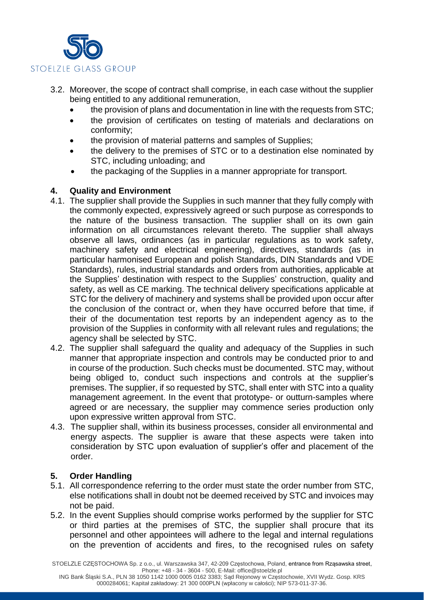

- 3.2. Moreover, the scope of contract shall comprise, in each case without the supplier being entitled to any additional remuneration,
	- the provision of plans and documentation in line with the requests from STC;
	- the provision of certificates on testing of materials and declarations on conformity;
	- the provision of material patterns and samples of Supplies;
	- the delivery to the premises of STC or to a destination else nominated by STC, including unloading; and
	- the packaging of the Supplies in a manner appropriate for transport.

## **4. Quality and Environment**

- 4.1. The supplier shall provide the Supplies in such manner that they fully comply with the commonly expected, expressively agreed or such purpose as corresponds to the nature of the business transaction. The supplier shall on its own gain information on all circumstances relevant thereto. The supplier shall always observe all laws, ordinances (as in particular regulations as to work safety, machinery safety and electrical engineering), directives, standards (as in particular harmonised European and polish Standards, DIN Standards and VDE Standards), rules, industrial standards and orders from authorities, applicable at the Supplies' destination with respect to the Supplies' construction, quality and safety, as well as CE marking. The technical delivery specifications applicable at STC for the delivery of machinery and systems shall be provided upon occur after the conclusion of the contract or, when they have occurred before that time, if their of the documentation test reports by an independent agency as to the provision of the Supplies in conformity with all relevant rules and regulations; the agency shall be selected by STC.
- 4.2. The supplier shall safeguard the quality and adequacy of the Supplies in such manner that appropriate inspection and controls may be conducted prior to and in course of the production. Such checks must be documented. STC may, without being obliged to, conduct such inspections and controls at the supplier's premises. The supplier, if so requested by STC, shall enter with STC into a quality management agreement. In the event that prototype- or outturn-samples where agreed or are necessary, the supplier may commence series production only upon expressive written approval from STC.
- 4.3. The supplier shall, within its business processes, consider all environmental and energy aspects. The supplier is aware that these aspects were taken into consideration by STC upon evaluation of supplier's offer and placement of the order.

# **5. Order Handling**

- 5.1. All correspondence referring to the order must state the order number from STC, else notifications shall in doubt not be deemed received by STC and invoices may not be paid.
- 5.2. In the event Supplies should comprise works performed by the supplier for STC or third parties at the premises of STC, the supplier shall procure that its personnel and other appointees will adhere to the legal and internal regulations on the prevention of accidents and fires, to the recognised rules on safety

STOELZLE CZĘSTOCHOWA Sp. z o.o., ul. Warszawska 347, 42-209 Częstochowa, Poland, entrance from Rząsawska street, Phone: +48 - 34 - 3604 - 500, E-Mail: office@stoelzle.pl

ING Bank Śląski S.A., PLN 38 1050 1142 1000 0005 0162 3383; Sąd Rejonowy w Częstochowie, XVII Wydz. Gosp. KRS 0000284061; Kapitał zakładowy: 21 300 000PLN (wpłacony w całości); NIP 573-011-37-36.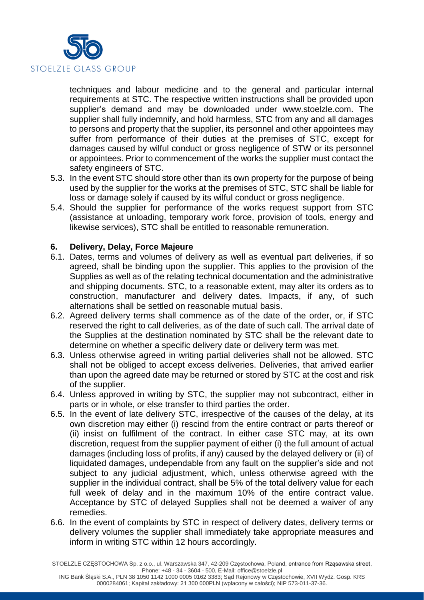

techniques and labour medicine and to the general and particular internal requirements at STC. The respective written instructions shall be provided upon supplier's demand and may be downloaded under www.stoelzle.com. The supplier shall fully indemnify, and hold harmless, STC from any and all damages to persons and property that the supplier, its personnel and other appointees may suffer from performance of their duties at the premises of STC, except for damages caused by wilful conduct or gross negligence of STW or its personnel or appointees. Prior to commencement of the works the supplier must contact the safety engineers of STC.

- 5.3. In the event STC should store other than its own property for the purpose of being used by the supplier for the works at the premises of STC, STC shall be liable for loss or damage solely if caused by its wilful conduct or gross negligence.
- 5.4. Should the supplier for performance of the works request support from STC (assistance at unloading, temporary work force, provision of tools, energy and likewise services), STC shall be entitled to reasonable remuneration.

### **6. Delivery, Delay, Force Majeure**

- 6.1. Dates, terms and volumes of delivery as well as eventual part deliveries, if so agreed, shall be binding upon the supplier. This applies to the provision of the Supplies as well as of the relating technical documentation and the administrative and shipping documents. STC, to a reasonable extent, may alter its orders as to construction, manufacturer and delivery dates. Impacts, if any, of such alternations shall be settled on reasonable mutual basis.
- 6.2. Agreed delivery terms shall commence as of the date of the order, or, if STC reserved the right to call deliveries, as of the date of such call. The arrival date of the Supplies at the destination nominated by STC shall be the relevant date to determine on whether a specific delivery date or delivery term was met.
- 6.3. Unless otherwise agreed in writing partial deliveries shall not be allowed. STC shall not be obliged to accept excess deliveries. Deliveries, that arrived earlier than upon the agreed date may be returned or stored by STC at the cost and risk of the supplier.
- 6.4. Unless approved in writing by STC, the supplier may not subcontract, either in parts or in whole, or else transfer to third parties the order.
- 6.5. In the event of late delivery STC, irrespective of the causes of the delay, at its own discretion may either (i) rescind from the entire contract or parts thereof or (ii) insist on fulfilment of the contract. In either case STC may, at its own discretion, request from the supplier payment of either (i) the full amount of actual damages (including loss of profits, if any) caused by the delayed delivery or (ii) of liquidated damages, undependable from any fault on the supplier's side and not subject to any judicial adjustment, which, unless otherwise agreed with the supplier in the individual contract, shall be 5% of the total delivery value for each full week of delay and in the maximum 10% of the entire contract value. Acceptance by STC of delayed Supplies shall not be deemed a waiver of any remedies.
- 6.6. In the event of complaints by STC in respect of delivery dates, delivery terms or delivery volumes the supplier shall immediately take appropriate measures and inform in writing STC within 12 hours accordingly.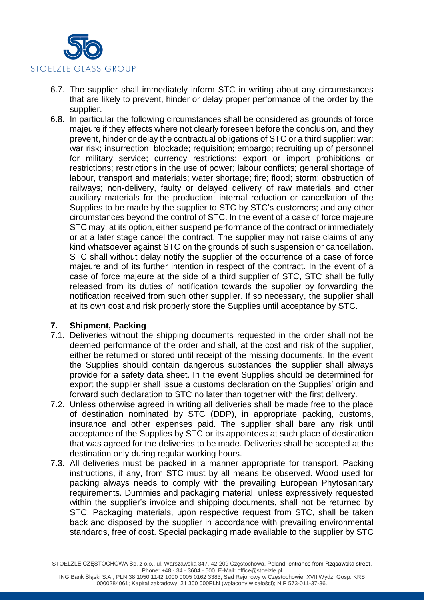

- 6.7. The supplier shall immediately inform STC in writing about any circumstances that are likely to prevent, hinder or delay proper performance of the order by the supplier.
- 6.8. In particular the following circumstances shall be considered as grounds of force majeure if they effects where not clearly foreseen before the conclusion, and they prevent, hinder or delay the contractual obligations of STC or a third supplier: war; war risk; insurrection; blockade; requisition; embargo; recruiting up of personnel for military service; currency restrictions; export or import prohibitions or restrictions; restrictions in the use of power; labour conflicts; general shortage of labour, transport and materials; water shortage; fire; flood; storm; obstruction of railways; non-delivery, faulty or delayed delivery of raw materials and other auxiliary materials for the production; internal reduction or cancellation of the Supplies to be made by the supplier to STC by STC's customers; and any other circumstances beyond the control of STC. In the event of a case of force majeure STC may, at its option, either suspend performance of the contract or immediately or at a later stage cancel the contract. The supplier may not raise claims of any kind whatsoever against STC on the grounds of such suspension or cancellation. STC shall without delay notify the supplier of the occurrence of a case of force majeure and of its further intention in respect of the contract. In the event of a case of force majeure at the side of a third supplier of STC, STC shall be fully released from its duties of notification towards the supplier by forwarding the notification received from such other supplier. If so necessary, the supplier shall at its own cost and risk properly store the Supplies until acceptance by STC.

### **7. Shipment, Packing**

- 7.1. Deliveries without the shipping documents requested in the order shall not be deemed performance of the order and shall, at the cost and risk of the supplier, either be returned or stored until receipt of the missing documents. In the event the Supplies should contain dangerous substances the supplier shall always provide for a safety data sheet. In the event Supplies should be determined for export the supplier shall issue a customs declaration on the Supplies' origin and forward such declaration to STC no later than together with the first delivery.
- 7.2. Unless otherwise agreed in writing all deliveries shall be made free to the place of destination nominated by STC (DDP), in appropriate packing, customs, insurance and other expenses paid. The supplier shall bare any risk until acceptance of the Supplies by STC or its appointees at such place of destination that was agreed for the deliveries to be made. Deliveries shall be accepted at the destination only during regular working hours.
- 7.3. All deliveries must be packed in a manner appropriate for transport. Packing instructions, if any, from STC must by all means be observed. Wood used for packing always needs to comply with the prevailing European Phytosanitary requirements. Dummies and packaging material, unless expressively requested within the supplier's invoice and shipping documents, shall not be returned by STC. Packaging materials, upon respective request from STC, shall be taken back and disposed by the supplier in accordance with prevailing environmental standards, free of cost. Special packaging made available to the supplier by STC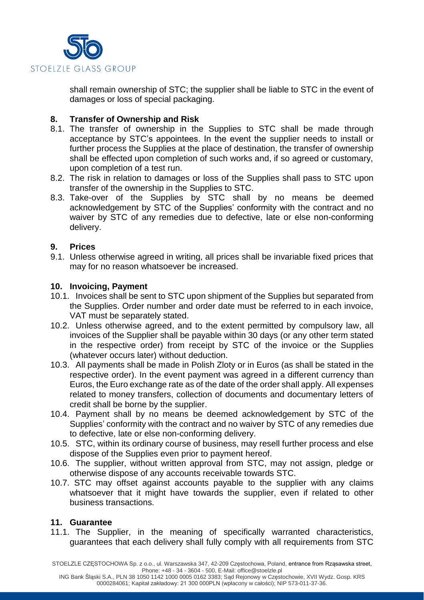

shall remain ownership of STC; the supplier shall be liable to STC in the event of damages or loss of special packaging.

### **8. Transfer of Ownership and Risk**

- 8.1. The transfer of ownership in the Supplies to STC shall be made through acceptance by STC's appointees. In the event the supplier needs to install or further process the Supplies at the place of destination, the transfer of ownership shall be effected upon completion of such works and, if so agreed or customary, upon completion of a test run.
- 8.2. The risk in relation to damages or loss of the Supplies shall pass to STC upon transfer of the ownership in the Supplies to STC.
- 8.3. Take-over of the Supplies by STC shall by no means be deemed acknowledgement by STC of the Supplies' conformity with the contract and no waiver by STC of any remedies due to defective, late or else non-conforming delivery.

### **9. Prices**

9.1. Unless otherwise agreed in writing, all prices shall be invariable fixed prices that may for no reason whatsoever be increased.

### **10. Invoicing, Payment**

- 10.1. Invoices shall be sent to STC upon shipment of the Supplies but separated from the Supplies. Order number and order date must be referred to in each invoice, VAT must be separately stated.
- 10.2. Unless otherwise agreed, and to the extent permitted by compulsory law, all invoices of the Supplier shall be payable within 30 days (or any other term stated in the respective order) from receipt by STC of the invoice or the Supplies (whatever occurs later) without deduction.
- 10.3. All payments shall be made in Polish Zloty or in Euros (as shall be stated in the respective order). In the event payment was agreed in a different currency than Euros, the Euro exchange rate as of the date of the order shall apply. All expenses related to money transfers, collection of documents and documentary letters of credit shall be borne by the supplier.
- 10.4. Payment shall by no means be deemed acknowledgement by STC of the Supplies' conformity with the contract and no waiver by STC of any remedies due to defective, late or else non-conforming delivery.
- 10.5. STC, within its ordinary course of business, may resell further process and else dispose of the Supplies even prior to payment hereof.
- 10.6. The supplier, without written approval from STC, may not assign, pledge or otherwise dispose of any accounts receivable towards STC.
- 10.7. STC may offset against accounts payable to the supplier with any claims whatsoever that it might have towards the supplier, even if related to other business transactions.

### **11. Guarantee**

11.1. The Supplier, in the meaning of specifically warranted characteristics, guarantees that each delivery shall fully comply with all requirements from STC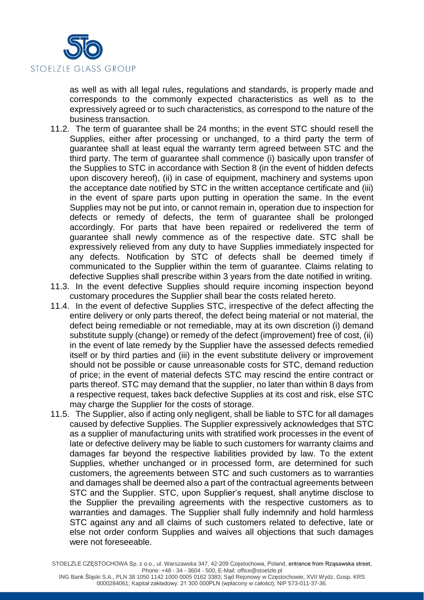

as well as with all legal rules, regulations and standards, is properly made and corresponds to the commonly expected characteristics as well as to the expressively agreed or to such characteristics, as correspond to the nature of the business transaction.

- 11.2. The term of guarantee shall be 24 months; in the event STC should resell the Supplies, either after processing or unchanged, to a third party the term of guarantee shall at least equal the warranty term agreed between STC and the third party. The term of guarantee shall commence (i) basically upon transfer of the Supplies to STC in accordance with Section 8 (in the event of hidden defects upon discovery hereof), (ii) in case of equipment, machinery and systems upon the acceptance date notified by STC in the written acceptance certificate and (iii) in the event of spare parts upon putting in operation the same. In the event Supplies may not be put into, or cannot remain in, operation due to inspection for defects or remedy of defects, the term of guarantee shall be prolonged accordingly. For parts that have been repaired or redelivered the term of guarantee shall newly commence as of the respective date. STC shall be expressively relieved from any duty to have Supplies immediately inspected for any defects. Notification by STC of defects shall be deemed timely if communicated to the Supplier within the term of guarantee. Claims relating to defective Supplies shall prescribe within 3 years from the date notified in writing.
- 11.3. In the event defective Supplies should require incoming inspection beyond customary procedures the Supplier shall bear the costs related hereto.
- 11.4. In the event of defective Supplies STC, irrespective of the defect affecting the entire delivery or only parts thereof, the defect being material or not material, the defect being remediable or not remediable, may at its own discretion (i) demand substitute supply (change) or remedy of the defect (improvement) free of cost, (ii) in the event of late remedy by the Supplier have the assessed defects remedied itself or by third parties and (iii) in the event substitute delivery or improvement should not be possible or cause unreasonable costs for STC, demand reduction of price; in the event of material defects STC may rescind the entire contract or parts thereof. STC may demand that the supplier, no later than within 8 days from a respective request, takes back defective Supplies at its cost and risk, else STC may charge the Supplier for the costs of storage.
- 11.5. The Supplier, also if acting only negligent, shall be liable to STC for all damages caused by defective Supplies. The Supplier expressively acknowledges that STC as a supplier of manufacturing units with stratified work processes in the event of late or defective delivery may be liable to such customers for warranty claims and damages far beyond the respective liabilities provided by law. To the extent Supplies, whether unchanged or in processed form, are determined for such customers, the agreements between STC and such customers as to warranties and damages shall be deemed also a part of the contractual agreements between STC and the Supplier. STC, upon Supplier's request, shall anytime disclose to the Supplier the prevailing agreements with the respective customers as to warranties and damages. The Supplier shall fully indemnify and hold harmless STC against any and all claims of such customers related to defective, late or else not order conform Supplies and waives all objections that such damages were not foreseeable.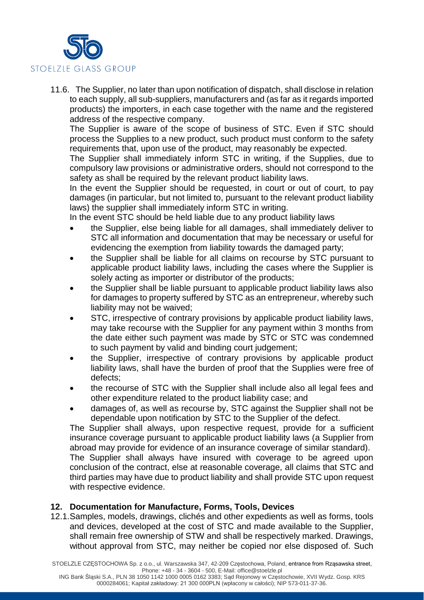

11.6. The Supplier, no later than upon notification of dispatch, shall disclose in relation to each supply, all sub-suppliers, manufacturers and (as far as it regards imported products) the importers, in each case together with the name and the registered address of the respective company.

The Supplier is aware of the scope of business of STC. Even if STC should process the Supplies to a new product, such product must conform to the safety requirements that, upon use of the product, may reasonably be expected.

The Supplier shall immediately inform STC in writing, if the Supplies, due to compulsory law provisions or administrative orders, should not correspond to the safety as shall be required by the relevant product liability laws.

In the event the Supplier should be requested, in court or out of court, to pay damages (in particular, but not limited to, pursuant to the relevant product liability laws) the supplier shall immediately inform STC in writing.

In the event STC should be held liable due to any product liability laws

- the Supplier, else being liable for all damages, shall immediately deliver to STC all information and documentation that may be necessary or useful for evidencing the exemption from liability towards the damaged party;
- the Supplier shall be liable for all claims on recourse by STC pursuant to applicable product liability laws, including the cases where the Supplier is solely acting as importer or distributor of the products;
- the Supplier shall be liable pursuant to applicable product liability laws also for damages to property suffered by STC as an entrepreneur, whereby such liability may not be waived;
- STC, irrespective of contrary provisions by applicable product liability laws, may take recourse with the Supplier for any payment within 3 months from the date either such payment was made by STC or STC was condemned to such payment by valid and binding court judgement;
- the Supplier, irrespective of contrary provisions by applicable product liability laws, shall have the burden of proof that the Supplies were free of defects;
- the recourse of STC with the Supplier shall include also all legal fees and other expenditure related to the product liability case; and
- damages of, as well as recourse by, STC against the Supplier shall not be dependable upon notification by STC to the Supplier of the defect.

The Supplier shall always, upon respective request, provide for a sufficient insurance coverage pursuant to applicable product liability laws (a Supplier from abroad may provide for evidence of an insurance coverage of similar standard).

The Supplier shall always have insured with coverage to be agreed upon conclusion of the contract, else at reasonable coverage, all claims that STC and third parties may have due to product liability and shall provide STC upon request with respective evidence.

### **12. Documentation for Manufacture, Forms, Tools, Devices**

12.1.Samples, models, drawings, clichés and other expedients as well as forms, tools and devices, developed at the cost of STC and made available to the Supplier, shall remain free ownership of STW and shall be respectively marked. Drawings, without approval from STC, may neither be copied nor else disposed of. Such

STOELZLE CZĘSTOCHOWA Sp. z o.o., ul. Warszawska 347, 42-209 Częstochowa, Poland, entrance from Rząsawska street, Phone: +48 - 34 - 3604 - 500, E-Mail: office@stoelzle.pl

ING Bank Śląski S.A., PLN 38 1050 1142 1000 0005 0162 3383; Sąd Rejonowy w Częstochowie, XVII Wydz. Gosp. KRS 0000284061; Kapitał zakładowy: 21 300 000PLN (wpłacony w całości); NIP 573-011-37-36.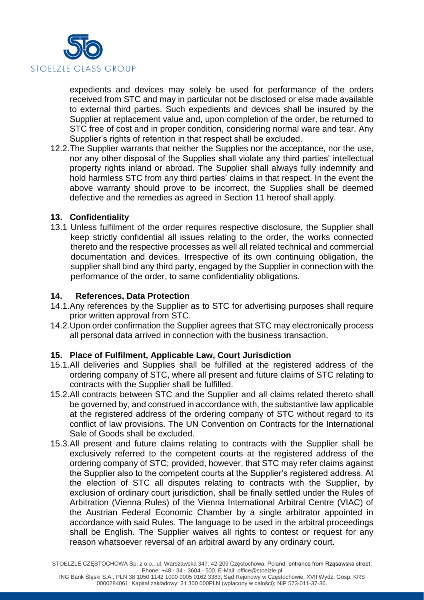

expedients and devices may solely be used for performance of the orders received from STC and may in particular not be disclosed or else made available to external third parties. Such expedients and devices shall be insured by the Supplier at replacement value and, upon completion of the order, be returned to STC free of cost and in proper condition, considering normal ware and tear. Any Supplier's rights of retention in that respect shall be excluded.

12.2.The Supplier warrants that neither the Supplies nor the acceptance, nor the use, nor any other disposal of the Supplies shall violate any third parties' intellectual property rights inland or abroad. The Supplier shall always fully indemnify and hold harmless STC from any third parties' claims in that respect. In the event the above warranty should prove to be incorrect, the Supplies shall be deemed defective and the remedies as agreed in Section 11 hereof shall apply.

### **13. Confidentiality**

13.1 Unless fulfilment of the order requires respective disclosure, the Supplier shall keep strictly confidential all issues relating to the order, the works connected thereto and the respective processes as well all related technical and commercial documentation and devices. Irrespective of its own continuing obligation, the supplier shall bind any third party, engaged by the Supplier in connection with the performance of the order, to same confidentiality obligations.

#### **14. References, Data Protection**

- 14.1.Any references by the Supplier as to STC for advertising purposes shall require prior written approval from STC.
- 14.2.Upon order confirmation the Supplier agrees that STC may electronically process all personal data arrived in connection with the business transaction.

### **15. Place of Fulfilment, Applicable Law, Court Jurisdiction**

- 15.1.All deliveries and Supplies shall be fulfilled at the registered address of the ordering company of STC, where all present and future claims of STC relating to contracts with the Supplier shall be fulfilled.
- 15.2.All contracts between STC and the Supplier and all claims related thereto shall be governed by, and construed in accordance with, the substantive law applicable at the registered address of the ordering company of STC without regard to its conflict of law provisions. The UN Convention on Contracts for the International Sale of Goods shall be excluded.
- 15.3.All present and future claims relating to contracts with the Supplier shall be exclusively referred to the competent courts at the registered address of the ordering company of STC; provided, however, that STC may refer claims against the Supplier also to the competent courts at the Supplier's registered address. At the election of STC all disputes relating to contracts with the Supplier, by exclusion of ordinary court jurisdiction, shall be finally settled under the Rules of Arbitration (Vienna Rules) of the Vienna International Arbitral Centre (VIAC) of the Austrian Federal Economic Chamber by a single arbitrator appointed in accordance with said Rules. The language to be used in the arbitral proceedings shall be English. The Supplier waives all rights to contest or request for any reason whatsoever reversal of an arbitral award by any ordinary court.